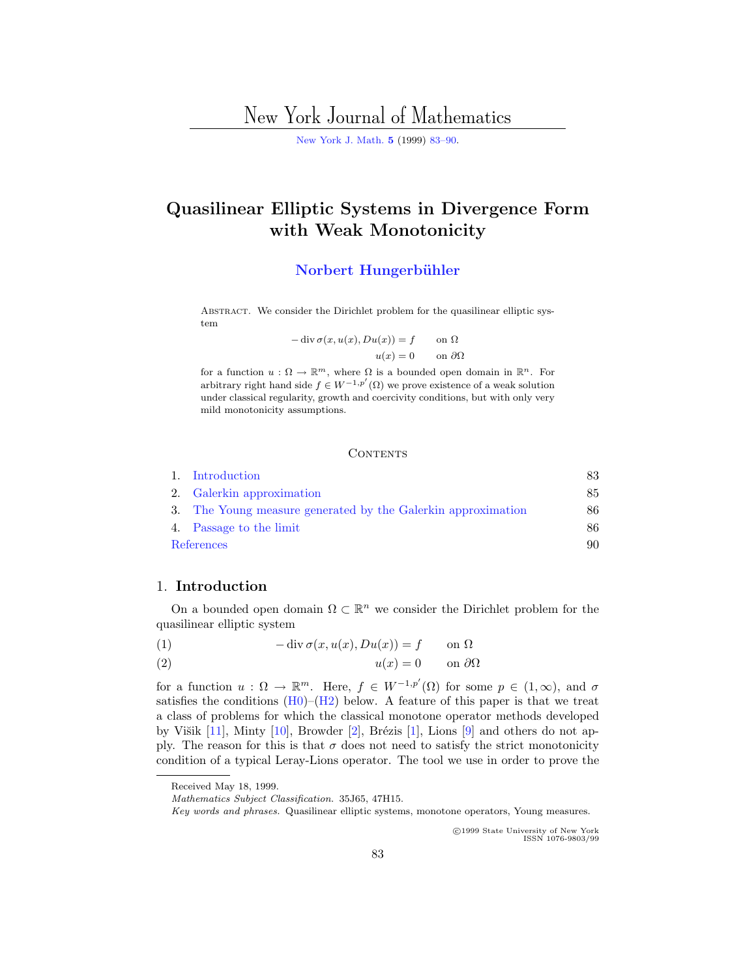# New York Journal of Mathematics

[New York J. Math.](http://nyjm.albany.edu:8000/nyjm.html) **[5](http://nyjm.albany.edu:8000/j/1999/Vol5.html)** (1999) [83–90.](http://nyjm.albany.edu:8000/j/1999/5-5.html)

## <span id="page-0-0"></span>**Quasilinear Elliptic Systems in Divergence Form with Weak Monotonicity**

#### **Norbert Hungerbühler**

ABSTRACT. We consider the Dirichlet problem for the quasilinear elliptic system

$$
- \operatorname{div} \sigma(x, u(x), Du(x)) = f \quad \text{on } \Omega
$$

$$
u(x) = 0 \quad \text{on } \partial\Omega
$$

for a function  $u : \Omega \to \mathbb{R}^m$ , where  $\Omega$  is a bounded open domain in  $\mathbb{R}^n$ . For arbitrary right hand side  $f \in W^{-1,p'}(\Omega)$  we prove existence of a weak solution under classical regularity, growth and coercivity conditions, but with only very mild monotonicity assumptions.

#### **CONTENTS**

|            | 1. Introduction                                              | 83 |
|------------|--------------------------------------------------------------|----|
|            | 2. Galerkin approximation                                    | 85 |
|            | 3. The Young measure generated by the Galerkin approximation | 86 |
|            | 4. Passage to the limit                                      | 86 |
| References |                                                              | 90 |

### 1. **Introduction**

On a bounded open domain  $\Omega \subset \mathbb{R}^n$  we consider the Dirichlet problem for the quasilinear elliptic system

(1) 
$$
-\operatorname{div} \sigma(x, u(x), Du(x)) = f \quad \text{on } \Omega
$$

$$
(2) \t\t u(x) = 0 \t on \partial\Omega
$$

for a function  $u : \Omega \to \mathbb{R}^m$ . Here,  $f \in W^{-1,p'}(\Omega)$  for some  $p \in (1,\infty)$ , and  $\sigma$ satisfies the conditions  $(H0)$ – $(H2)$  below. A feature of this paper is that we treat a class of problems for which the classical monotone operator methods developed by Višik  $[11]$  $[11]$ , Minty  $[10]$  $[10]$ , Browder  $[2]$  $[2]$ , Brézis  $[1]$  $[1]$ , Lions  $[9]$  $[9]$  and others do not apply. The reason for this is that  $\sigma$  does not need to satisfy the strict monotonicity condition of a typical Leray-Lions operator. The tool we use in order to prove the

c 1999 State University of New York ISSN 1076-9803/99

Received May 18, 1999.

Mathematics Subject Classification. 35J65, 47H15.

Key words and phrases. Quasilinear elliptic systems, monotone operators, Young measures.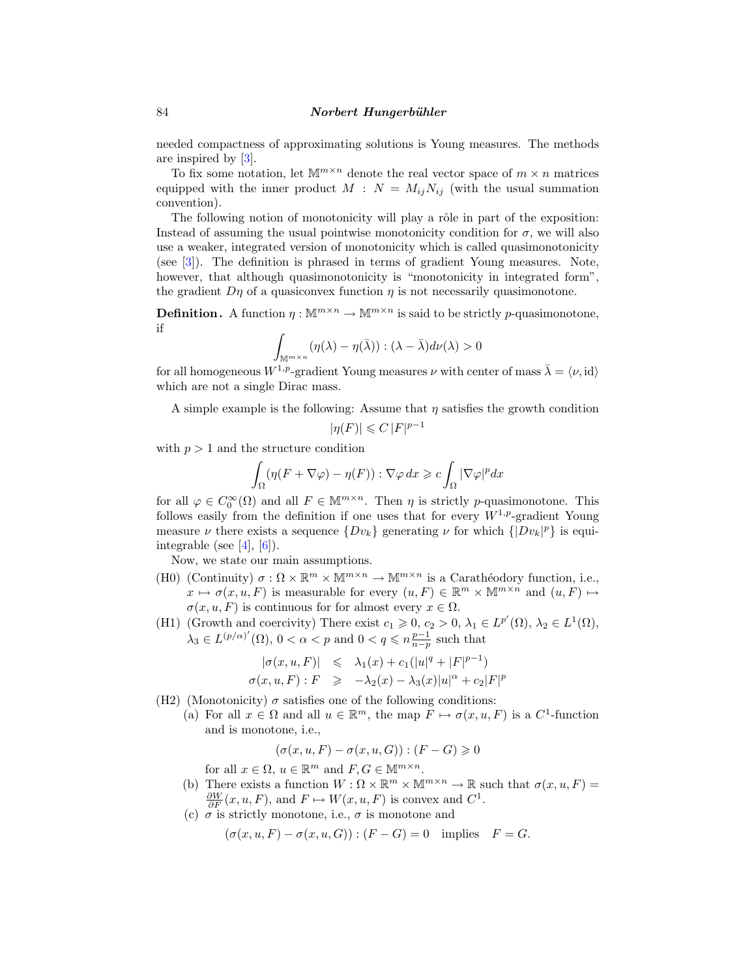<span id="page-1-0"></span>needed compactness of approximating solutions is Young measures. The methods are inspired by [[3\]](#page-7-0).

To fix some notation, let  $\mathbb{M}^{m \times n}$  denote the real vector space of  $m \times n$  matrices equipped with the inner product  $M : N = M_{ij}N_{ij}$  (with the usual summation convention).

The following notion of monotonicity will play a rôle in part of the exposition: Instead of assuming the usual pointwise monotonicity condition for  $\sigma$ , we will also use a weaker, integrated version of monotonicity which is called quasimonotonicity (see [\[3](#page-7-0)]). The definition is phrased in terms of gradient Young measures. Note, however, that although quasimonotonicity is "monotonicity in integrated form", the gradient  $D\eta$  of a quasiconvex function  $\eta$  is not necessarily quasimonotone.

**Definition.** A function  $\eta : \mathbb{M}^{m \times n} \to \mathbb{M}^{m \times n}$  is said to be strictly p-quasimonotone, if

$$
\int_{\mathbb{M}^{m \times n}} (\eta(\lambda) - \eta(\bar{\lambda})) : (\lambda - \bar{\lambda}) d\nu(\lambda) > 0
$$

for all homogeneous  $W^{1,p}$ -gradient Young measures  $\nu$  with center of mass  $\bar{\lambda} = \langle \nu, id \rangle$ which are not a single Dirac mass.

A simple example is the following: Assume that  $\eta$  satisfies the growth condition

$$
|\eta(F)| \leqslant C |F|^{p-1}
$$

with  $p > 1$  and the structure condition

$$
\int_{\Omega} (\eta (F + \nabla \varphi) - \eta(F)) : \nabla \varphi \, dx \geqslant c \int_{\Omega} |\nabla \varphi|^p dx
$$

for all  $\varphi \in C_0^{\infty}(\Omega)$  and all  $F \in \mathbb{M}^{m \times n}$ . Then  $\eta$  is strictly p-quasimonotone. This follows easily from the definition if one uses that for every  $W^{1,p}$ -gradient Young measure  $\nu$  there exists a sequence  $\{Dv_k\}$  generating  $\nu$  for which  $\{[Dv_k]^p\}$  is equi-integrable (see [[4\]](#page-7-0),  $[6]$  $[6]$ ).

Now, we state our main assumptions.

- (H0) (Continuity)  $\sigma : \Omega \times \mathbb{R}^m \times \mathbb{M}^{m \times n} \to \mathbb{M}^{m \times n}$  is a Carathéodory function, i.e.,  $x \mapsto \sigma(x, u, F)$  is measurable for every  $(u, F) \in \mathbb{R}^m \times \mathbb{M}^{m \times n}$  and  $(u, F) \mapsto$  $\sigma(x, u, F)$  is continuous for for almost every  $x \in \Omega$ .
- (H1) (Growth and coercivity) There exist  $c_1 \geq 0$ ,  $c_2 > 0$ ,  $\lambda_1 \in L^{p'}(\Omega)$ ,  $\lambda_2 \in L^1(\Omega)$ ,  $\lambda_3 \in L^{(p/\alpha)'}(\Omega)$ ,  $0 < \alpha < p$  and  $0 < q \leqslant n \frac{p-1}{n-p}$  such that

$$
\begin{array}{rcl}\n|\sigma(x, u, F)| & \leqslant & \lambda_1(x) + c_1(|u|^q + |F|^{p-1}) \\
\sigma(x, u, F) : F & \geqslant & -\lambda_2(x) - \lambda_3(x)|u|^{\alpha} + c_2|F|^p\n\end{array}
$$

(H2) (Monotonicity)  $\sigma$  satisfies one of the following conditions:

(a) For all  $x \in \Omega$  and all  $u \in \mathbb{R}^m$ , the map  $F \mapsto \sigma(x, u, F)$  is a  $C^1$ -function and is monotone, i.e.,

$$
(\sigma(x, u, F) - \sigma(x, u, G)) : (F - G) \geq 0
$$

for all  $x \in \Omega$ ,  $u \in \mathbb{R}^m$  and  $F, G \in \mathbb{M}^{m \times n}$ .

- (b) There exists a function  $W : \Omega \times \mathbb{R}^m \times \mathbb{M}^{m \times n} \to \mathbb{R}$  such that  $\sigma(x, u, F) =$  $\frac{\partial W}{\partial F}(x, u, F)$ , and  $F \mapsto W(x, u, F)$  is convex and  $C^1$ .
- (c)  $\sigma$  is strictly monotone, i.e.,  $\sigma$  is monotone and

$$
(\sigma(x, u, F) - \sigma(x, u, G)) : (F - G) = 0 \text{ implies } F = G.
$$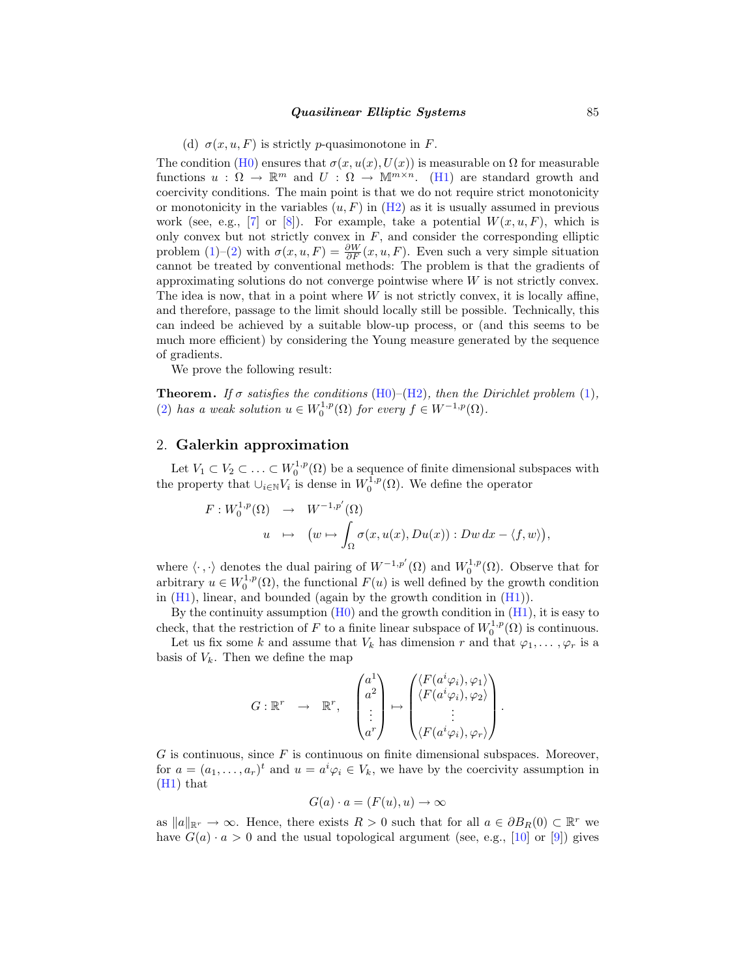#### *Quasilinear Elliptic Systems* 85

(d)  $\sigma(x, u, F)$  is strictly p-quasimonotone in F.

<span id="page-2-0"></span>The condition [\(H0\)](#page-1-0) ensures that  $\sigma(x, u(x), U(x))$  is measurable on  $\Omega$  for measurable functions  $u : \Omega \to \mathbb{R}^m$  and  $U : \Omega \to \mathbb{M}^{m \times n}$ . ([H1](#page-1-0)) are standard growth and coercivity conditions. The main point is that we do not require strict monotonicity or monotonicity in the variables  $(u, F)$  in  $(H2)$  $(H2)$  $(H2)$  as it is usually assumed in previous work (see, e.g., [[7\]](#page-7-0) or [[8\]](#page-7-0)). For example, take a potential  $W(x, u, F)$ , which is only convex but not strictly convex in  $F$ , and consider the corresponding elliptic problem ([1](#page-0-0))–[\(2](#page-0-0)) with  $\sigma(x, u, F) = \frac{\partial W}{\partial F}(x, u, F)$ . Even such a very simple situation cannot be treated by conventional methods: The problem is that the gradients of approximating solutions do not converge pointwise where  $W$  is not strictly convex. The idea is now, that in a point where  $W$  is not strictly convex, it is locally affine, and therefore, passage to the limit should locally still be possible. Technically, this can indeed be achieved by a suitable blow-up process, or (and this seems to be much more efficient) by considering the Young measure generated by the sequence of gradients.

We prove the following result:

**Theorem.** If  $\sigma$  satisfies the conditions ([H0](#page-1-0))–([H2](#page-1-0)), then the Dirichlet problem [\(1](#page-0-0)), ([2\)](#page-0-0) has a weak solution  $u \in W_0^{1,p}(\Omega)$  for every  $f \in W^{-1,p}(\Omega)$ .

## 2. **Galerkin approximation**

Let  $V_1 \subset V_2 \subset \ldots \subset W_0^{1,p}(\Omega)$  be a sequence of finite dimensional subspaces with the property that  $\cup_{i\in\mathbb{N}}V_i$  is dense in  $W_0^{1,p}(\Omega)$ . We define the operator

$$
F: W_0^{1,p}(\Omega) \rightarrow W^{-1,p'}(\Omega)
$$
  

$$
u \mapsto (w \mapsto \int_{\Omega} \sigma(x, u(x), Du(x)) : Dw dx - \langle f, w \rangle),
$$

where  $\langle \cdot, \cdot \rangle$  denotes the dual pairing of  $W^{-1,p'}(\Omega)$  and  $W_0^{1,p}(\Omega)$ . Observe that for arbitrary  $u \in W_0^{1,p}(\Omega)$ , the functional  $F(u)$  is well defined by the growth condition in  $(H1)$ , linear, and bounded (again by the growth condition in  $(H1)$ ).

By the continuity assumption  $(H<sub>0</sub>)$  and the growth condition in  $(H<sub>1</sub>)$ , it is easy to check, that the restriction of F to a finite linear subspace of  $W_0^{1,p}(\Omega)$  is continuous.

Let us fix some k and assume that  $V_k$  has dimension r and that  $\varphi_1, \ldots, \varphi_r$  is a basis of  $V_k$ . Then we define the map

$$
G: \mathbb{R}^r \rightarrow \mathbb{R}^r, \quad \begin{pmatrix} a^1 \\ a^2 \\ \vdots \\ a^r \end{pmatrix} \mapsto \begin{pmatrix} \langle F(a^i\varphi_i), \varphi_1 \rangle \\ \langle F(a^i\varphi_i), \varphi_2 \rangle \\ \vdots \\ \langle F(a^i\varphi_i), \varphi_r \rangle \end{pmatrix}.
$$

 $G$  is continuous, since  $F$  is continuous on finite dimensional subspaces. Moreover, for  $a = (a_1, \ldots, a_r)^t$  and  $u = a^i \varphi_i \in V_k$ , we have by the coercivity assumption in ([H1\)](#page-1-0) that

$$
G(a) \cdot a = (F(u), u) \to \infty
$$

as  $||a||_{\mathbb{R}r} \rightarrow \infty$ . Hence, there exists  $R > 0$  such that for all  $a \in \partial B_R(0) \subset \mathbb{R}^r$  we have  $G(a) \cdot a > 0$  and the usual topological argument (see, e.g., [[10\]](#page-7-0) or [[9\]](#page-7-0)) gives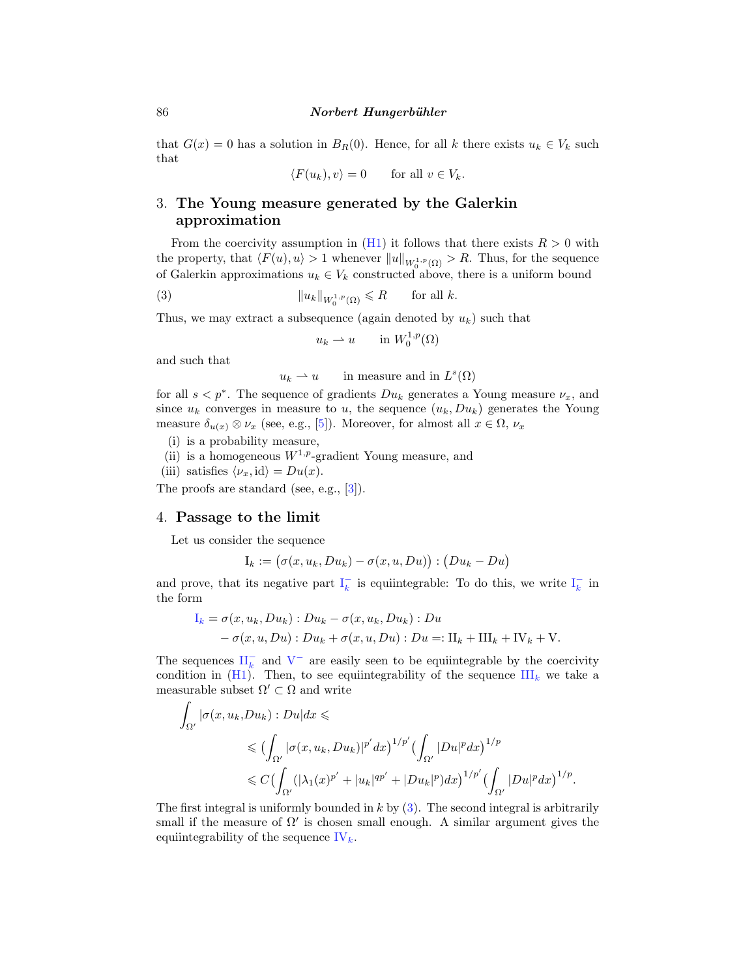<span id="page-3-0"></span>that  $G(x) = 0$  has a solution in  $B_R(0)$ . Hence, for all k there exists  $u_k \in V_k$  such that

 $\langle F(u_k), v \rangle = 0$  for all  $v \in V_k$ .

## 3. **The Young measure generated by the Galerkin approximation**

From the coercivity assumption in  $(H1)$  $(H1)$  $(H1)$  it follows that there exists  $R > 0$  with the property, that  $\langle F(u), u \rangle > 1$  whenever  $||u||_{W_0^{1,p}(\Omega)} > R$ . Thus, for the sequence of Galerkin approximations  $u_k \in V_k$  constructed above, there is a uniform bound

(3) 
$$
||u_k||_{W_0^{1,p}(\Omega)} \le R \quad \text{for all } k.
$$

Thus, we may extract a subsequence (again denoted by  $u_k$ ) such that

$$
u_k \rightharpoonup u \qquad \text{in } W_0^{1,p}(\Omega)
$$

and such that

$$
u_k \rightharpoonup u
$$
 in measure and in  $L^s(\Omega)$ 

for all  $s < p^*$ . The sequence of gradients  $Du_k$  generates a Young measure  $\nu_x$ , and since  $u_k$  converges in measure to u, the sequence  $(u_k, Du_k)$  generates the Young measure  $\delta_{u(x)} \otimes \nu_x$  (see, e.g., [[5\]](#page-7-0)). Moreover, for almost all  $x \in \Omega$ ,  $\nu_x$ 

- (i) is a probability measure,
- (ii) is a homogeneous  $W^{1,p}$ -gradient Young measure, and
- (iii) satisfies  $\langle \nu_x, \mathrm{id} \rangle = Du(x)$ .

The proofs are standard (see, e.g., [[3\]](#page-7-0)).

#### 4. **Passage to the limit**

Let us consider the sequence

$$
I_k := (\sigma(x, u_k, Du_k) - \sigma(x, u, Du)) : (Du_k - Du)
$$

and prove, that its negative part  $I_k^-$  is equiintegrable: To do this, we write  $I_k^-$  in the form

$$
I_k = \sigma(x, u_k, Du_k) : Du_k - \sigma(x, u_k, Du_k) : Du
$$
  
-  $\sigma(x, u, Du) : Du_k + \sigma(x, u, Du) : Du =: \Pi_k + \Pi_{k+1} + \Pi_{k+1} + \Pi_{k+1}.$ 

The sequences  $\prod_k^-$  and  $V^-$  are easily seen to be equiintegrable by the coercivity condition in  $(H1)$  $(H1)$  $(H1)$ . Then, to see equiintegrability of the sequence  $III_k$  we take a measurable subset  $\Omega' \subset \Omega$  and write

$$
\int_{\Omega'} |\sigma(x, u_k, Du_k) : Du| dx \leq
$$
\n
$$
\leq (\int_{\Omega'} |\sigma(x, u_k, Du_k)|^{p'} dx)^{1/p'} (\int_{\Omega'} |Du|^p dx)^{1/p}
$$
\n
$$
\leq C (\int_{\Omega'} (|\lambda_1(x)^{p'} + |u_k|^{qp'} + |Du_k|^p) dx)^{1/p'} (\int_{\Omega'} |Du|^p dx)^{1/p}.
$$

The first integral is uniformly bounded in  $k$  by  $(3)$ . The second integral is arbitrarily small if the measure of  $\Omega'$  is chosen small enough. A similar argument gives the equiintegrability of the sequence  $IV_k$ .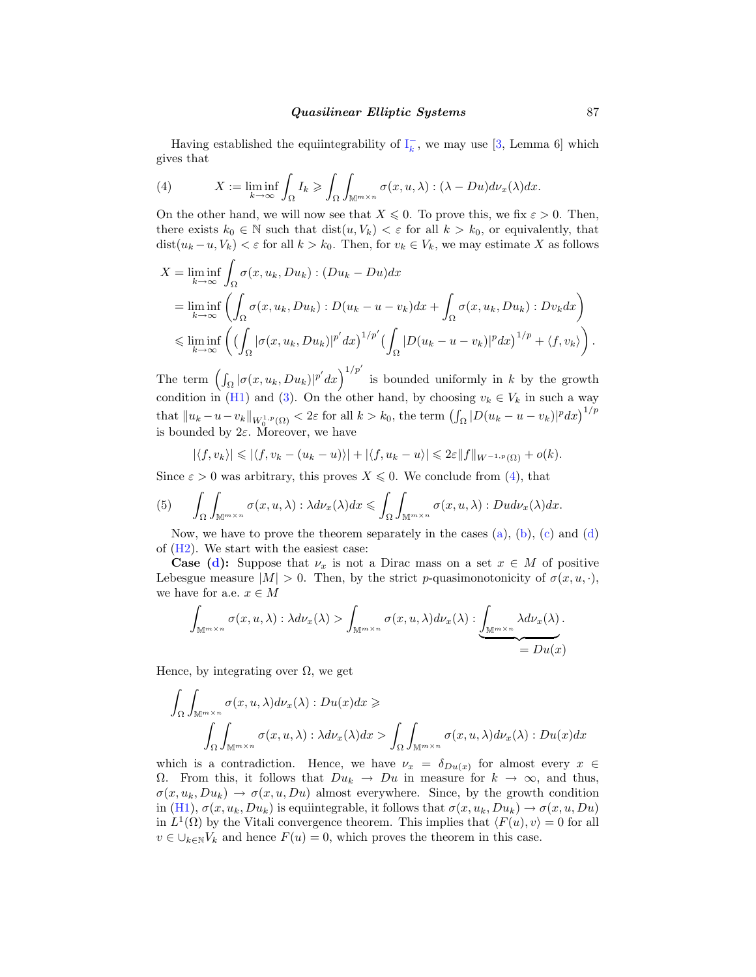<span id="page-4-0"></span>Having established the equiintegrability of  $I_k^-$ , we may use [[3,](#page-7-0) Lemma 6] which gives that

(4) 
$$
X := \liminf_{k \to \infty} \int_{\Omega} I_k \geq \int_{\Omega} \int_{\mathbb{M}^{m \times n}} \sigma(x, u, \lambda) : (\lambda - Du) d\nu_x(\lambda) dx.
$$

On the other hand, we will now see that  $X \leq 0$ . To prove this, we fix  $\varepsilon > 0$ . Then, there exists  $k_0 \in \mathbb{N}$  such that  $dist(u, V_k) < \varepsilon$  for all  $k > k_0$ , or equivalently, that  $dist(u_k - u, V_k) < \varepsilon$  for all  $k > k_0$ . Then, for  $v_k \in V_k$ , we may estimate X as follows

$$
X = \liminf_{k \to \infty} \int_{\Omega} \sigma(x, u_k, Du_k) : (Du_k - Du) dx
$$
  
\n
$$
= \liminf_{k \to \infty} \left( \int_{\Omega} \sigma(x, u_k, Du_k) : D(u_k - u - v_k) dx + \int_{\Omega} \sigma(x, u_k, Du_k) : Dv_k dx \right)
$$
  
\n
$$
\leq \liminf_{k \to \infty} \left( \left( \int_{\Omega} |\sigma(x, u_k, Du_k)|^{p'} dx \right)^{1/p'} \left( \int_{\Omega} |D(u_k - u - v_k)|^p dx \right)^{1/p} + \langle f, v_k \rangle \right).
$$

The term  $\left(\int_{\Omega} |\sigma(x, u_k, Du_k)|^{p'} dx\right)^{1/p'}$  is bounded uniformly in k by the growth condition in [\(H1\)](#page-1-0) and [\(3](#page-3-0)). On the other hand, by choosing  $v_k \in V_k$  in such a way that  $||u_k - u - v_k||_{W_0^{1,p}(\Omega)} < 2\varepsilon$  for all  $k > k_0$ , the term  $\left(\int_{\Omega} |D(u_k - u - v_k)|^p dx\right)^{1/p}$ is bounded by  $2\varepsilon$ . Moreover, we have

$$
|\langle f, v_k \rangle| \leq \left| \langle f, v_k - (u_k - u) \rangle \right| + \left| \langle f, u_k - u \rangle \right| \leq 2\varepsilon \|f\|_{W^{-1,p}(\Omega)} + o(k).
$$

Since  $\varepsilon > 0$  was arbitrary, this proves  $X \leq 0$ . We conclude from (4), that

(5) 
$$
\int_{\Omega}\int_{\mathbb{M}^{m\times n}}\sigma(x,u,\lambda):\lambda d\nu_{x}(\lambda)dx \leqslant \int_{\Omega}\int_{\mathbb{M}^{m\times n}}\sigma(x,u,\lambda):Dud\nu_{x}(\lambda)dx.
$$

Now, we have to prove the theorem separately in the [c](#page-1-0)ases  $(a)$  $(a)$ ,  $(b)$ ,  $(c)$  an[d](#page-2-0)  $(d)$ of ([H2](#page-1-0)). We start with the easiest case:

**Case ([d](#page-2-0)):** Suppose that  $\nu_x$  is not a Dirac mass on a set  $x \in M$  of positive Lebesgue measure  $|M| > 0$ . Then, by the strict p-quasimonotonicity of  $\sigma(x, u, \cdot)$ , we have for a.e.  $x \in M$ 

$$
\int_{\mathbb{M}^{m\times n}} \sigma(x, u, \lambda) : \lambda d\nu_x(\lambda) > \int_{\mathbb{M}^{m\times n}} \sigma(x, u, \lambda) d\nu_x(\lambda) : \underbrace{\int_{\mathbb{M}^{m\times n}} \lambda d\nu_x(\lambda)}_{= Du(x)}.
$$

Hence, by integrating over  $\Omega$ , we get

$$
\int_{\Omega} \int_{\mathbb{M}^{m \times n}} \sigma(x, u, \lambda) d\nu_x(\lambda) : Du(x) dx \ge
$$
\n
$$
\int_{\Omega} \int_{\mathbb{M}^{m \times n}} \sigma(x, u, \lambda) : \lambda d\nu_x(\lambda) dx > \int_{\Omega} \int_{\mathbb{M}^{m \times n}} \sigma(x, u, \lambda) d\nu_x(\lambda) : Du(x) dx
$$

which is a contradiction. Hence, we have  $\nu_x = \delta_{Du(x)}$  for almost every  $x \in$  $\Omega$ . From this, it follows that  $Du_k \to Du$  in measure for  $k \to \infty$ , and thus,  $\sigma(x, u_k, Du_k) \to \sigma(x, u, Du)$  almost everywhere. Since, by the growth condition in ([H1](#page-1-0)),  $\sigma(x, u_k, Du_k)$  is equiintegrable, it follows that  $\sigma(x, u_k, Du_k) \to \sigma(x, u, Du)$ in  $L^1(\Omega)$  by the Vitali convergence theorem. This implies that  $\langle F(u), v \rangle = 0$  for all  $v \in \bigcup_{k \in \mathbb{N}} V_k$  and hence  $F(u) = 0$ , which proves the theorem in this case.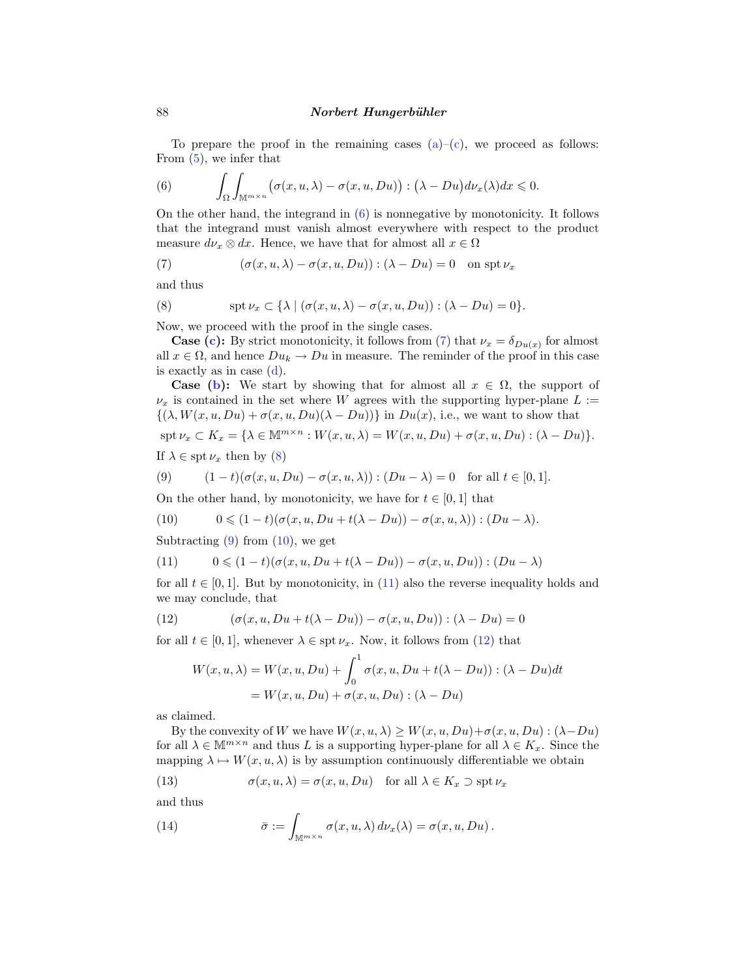To prepare the proof in the remaining [c](#page-1-0)ases  $(a)$  $(a)$ – $(c)$ , we proceed as follows: From ([5\)](#page-4-0), we infer that

(6) 
$$
\int_{\Omega}\int_{\mathbb{M}^{m\times n}}\bigl(\sigma(x,u,\lambda)-\sigma(x,u,Du)\bigr):(\lambda-Du)d\nu_x(\lambda)dx\leqslant 0.
$$

On the other hand, the integrand in (6) is nonnegative by monotonicity. It follows that the integrand must vanish almost everywhere with respect to the product measure  $d\nu_x \otimes dx$ . Hence, we have that for almost all  $x \in \Omega$ 

(7) 
$$
(\sigma(x, u, \lambda) - \sigma(x, u, Du)) : (\lambda - Du) = 0 \text{ on } \operatorname{spt} \nu_x
$$

and thus

(8) 
$$
\operatorname{spt} \nu_x \subset \{ \lambda \mid (\sigma(x, u, \lambda) - \sigma(x, u, Du)) : (\lambda - Du) = 0 \}.
$$

Now, we proceed with the proof in the single cases.

**Case ([c\)](#page-1-0):** By strict monotonicity, it follows from (7) that  $\nu_x = \delta_{Du(x)}$  for almost all  $x \in \Omega$ , and hence  $Du_k \to Du$  in measure. The reminder of the proof in this case is exactly as in case  $(d)$  $(d)$  $(d)$ .

**Case [\(b\)](#page-1-0):** We start by showing that for almost all  $x \in \Omega$ , the support of  $\nu_x$  is contained in the set where W agrees with the supporting hyper-plane  $L :=$  $\{(\lambda, W(x, u, Du) + \sigma(x, u, Du)(\lambda - Du))\}\$ in  $Du(x)$ , i.e., we want to show that

$$
\operatorname{spt} \nu_x \subset K_x = \{ \lambda \in \mathbb{M}^{m \times n} : W(x, u, \lambda) = W(x, u, Du) + \sigma(x, u, Du) : (\lambda - Du) \}.
$$

If  $\lambda \in \operatorname{spt} \nu_x$  then by (8)

(9) 
$$
(1-t)(\sigma(x, u, Du) - \sigma(x, u, \lambda)) : (Du - \lambda) = 0
$$
 for all  $t \in [0, 1]$ .

On the other hand, by monotonicity, we have for  $t \in [0, 1]$  that

(10) 
$$
0 \leq (1-t)(\sigma(x, u, Du + t(\lambda - Du)) - \sigma(x, u, \lambda)) : (Du - \lambda).
$$

Subtracting  $(9)$  from  $(10)$ , we get

(11) 
$$
0 \leq (1-t)(\sigma(x, u, Du + t(\lambda - Du)) - \sigma(x, u, Du)) : (Du - \lambda)
$$

for all  $t \in [0,1]$ . But by monotonicity, in (11) also the reverse inequality holds and we may conclude, that

(12) 
$$
(\sigma(x, u, Du + t(\lambda - Du)) - \sigma(x, u, Du)) : (\lambda - Du) = 0
$$

for all  $t \in [0, 1]$ , whenever  $\lambda \in \text{spt } \nu_x$ . Now, it follows from (12) that

$$
W(x, u, \lambda) = W(x, u, Du) + \int_0^1 \sigma(x, u, Du + t(\lambda - Du)) : (\lambda - Du)dt
$$
  
=  $W(x, u, Du) + \sigma(x, u, Du) : (\lambda - Du)$ 

as claimed.

By the convexity of W we have  $W(x, u, \lambda) \geq W(x, u, Du) + \sigma(x, u, Du) : (\lambda - Du)$ for all  $\lambda \in \mathbb{M}^{m \times n}$  and thus L is a supporting hyper-plane for all  $\lambda \in K_x$ . Since the mapping  $\lambda \mapsto W(x, u, \lambda)$  is by assumption continuously differentiable we obtain

(13) 
$$
\sigma(x, u, \lambda) = \sigma(x, u, Du) \text{ for all } \lambda \in K_x \supset \text{spt } \nu_x
$$

and thus

(14) 
$$
\bar{\sigma} := \int_{\mathbb{M}^{m \times n}} \sigma(x, u, \lambda) d\nu_x(\lambda) = \sigma(x, u, Du).
$$

<span id="page-5-0"></span>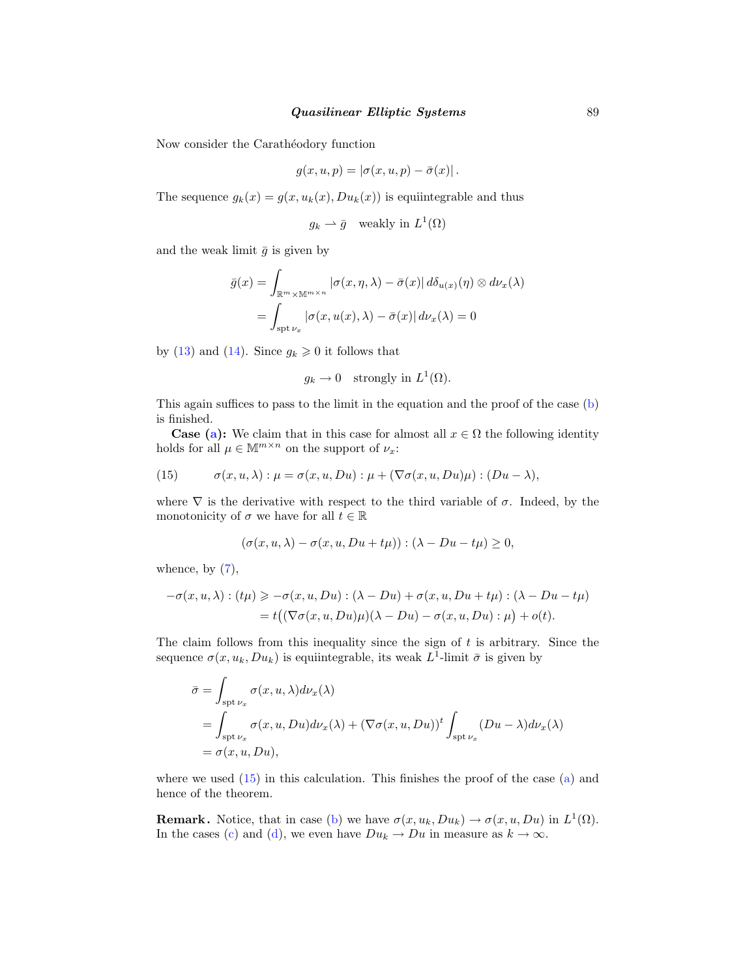#### *Quasilinear Elliptic Systems* 89

Now consider the Carathéodory function

$$
g(x, u, p) = |\sigma(x, u, p) - \bar{\sigma}(x)|.
$$

The sequence  $g_k(x) = g(x, u_k(x), Du_k(x))$  is equiintegrable and thus

$$
g_k \rightharpoonup \bar{g}
$$
 weakly in  $L^1(\Omega)$ 

and the weak limit  $\bar{g}$  is given by

$$
\bar{g}(x) = \int_{\mathbb{R}^m \times \mathbb{M}^{m \times n}} |\sigma(x, \eta, \lambda) - \bar{\sigma}(x)| d\delta_{u(x)}(\eta) \otimes d\nu_x(\lambda)
$$

$$
= \int_{\text{spt } \nu_x} |\sigma(x, u(x), \lambda) - \bar{\sigma}(x)| d\nu_x(\lambda) = 0
$$

by [\(13](#page-5-0)) and ([14\)](#page-5-0). Since  $g_k \geq 0$  it follows that

$$
g_k \to 0
$$
 strongly in  $L^1(\Omega)$ .

This again suffices to pass to the limit in the equation and the proof of the case ([b](#page-1-0)) is finished.

**Case [\(a\)](#page-1-0):** We claim that in this case for almost all  $x \in \Omega$  the following identity holds for all  $\mu \in \mathbb{M}^{m \times n}$  on the support of  $\nu_x$ :

(15) 
$$
\sigma(x, u, \lambda) : \mu = \sigma(x, u, Du) : \mu + (\nabla \sigma(x, u, Du)\mu) : (Du - \lambda),
$$

where  $\nabla$  is the derivative with respect to the third variable of  $\sigma$ . Indeed, by the monotonicity of  $\sigma$  we have for all  $t \in \mathbb{R}$ 

$$
(\sigma(x, u, \lambda) - \sigma(x, u, Du + t\mu)) : (\lambda - Du - t\mu) \ge 0,
$$

whence, by  $(7)$  $(7)$ ,

$$
-\sigma(x, u, \lambda) : (tu) \ge -\sigma(x, u, Du) : (\lambda - Du) + \sigma(x, u, Du + t\mu) : (\lambda - Du - t\mu)
$$
  
=  $t((\nabla\sigma(x, u, Du)\mu)(\lambda - Du) - \sigma(x, u, Du) : \mu) + o(t).$ 

The claim follows from this inequality since the sign of  $t$  is arbitrary. Since the sequence  $\sigma(x, u_k, Du_k)$  is equiintegrable, its weak  $L^1$ -limit  $\bar{\sigma}$  is given by

$$
\bar{\sigma} = \int_{\text{spt}\,\nu_x} \sigma(x, u, \lambda) d\nu_x(\lambda)
$$
  
= 
$$
\int_{\text{spt}\,\nu_x} \sigma(x, u, Du) d\nu_x(\lambda) + (\nabla \sigma(x, u, Du))^t \int_{\text{spt}\,\nu_x} (Du - \lambda) d\nu_x(\lambda)
$$
  
= 
$$
\sigma(x, u, Du),
$$

where we used  $(15)$  in this calculation. This finishes the proof of the case  $(a)$  $(a)$  and hence of the theorem.

**Remark.** Notice, that in case [\(b\)](#page-1-0) we have  $\sigma(x, u_k, Du_k) \to \sigma(x, u, Du)$  in  $L^1(\Omega)$ . In the cases [\(c\)](#page-1-0) and [\(d\)](#page-2-0), we even have  $Du_k \to Du$  in measure as  $k \to \infty$ .